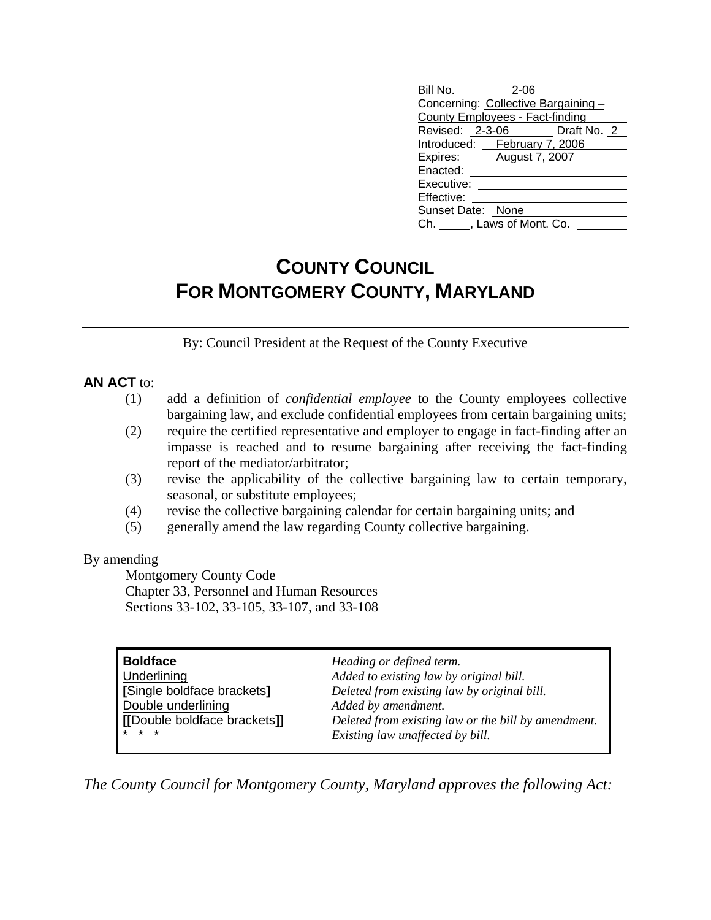| Bill No. 2-06                       |  |
|-------------------------------------|--|
| Concerning: Collective Bargaining - |  |
| County Employees - Fact-finding     |  |
| Revised: 2-3-06 Draft No. 2         |  |
| Introduced: February 7, 2006        |  |
| Expires: August 7, 2007             |  |
| Enacted:                            |  |
| Executive:                          |  |
| Effective:                          |  |
| Sunset Date: None                   |  |
| Ch. , Laws of Mont. Co.             |  |

# **COUNTY COUNCIL FOR MONTGOMERY COUNTY, MARYLAND**

By: Council President at the Request of the County Executive

### **AN ACT** to:

- (1) add a definition of *confidential employee* to the County employees collective bargaining law, and exclude confidential employees from certain bargaining units;
- (2) require the certified representative and employer to engage in fact-finding after an impasse is reached and to resume bargaining after receiving the fact-finding report of the mediator/arbitrator;
- (3) revise the applicability of the collective bargaining law to certain temporary, seasonal, or substitute employees;
- (4) revise the collective bargaining calendar for certain bargaining units; and
- (5) generally amend the law regarding County collective bargaining.

#### By amending

 Montgomery County Code Chapter 33, Personnel and Human Resources Sections 33-102, 33-105, 33-107, and 33-108

| Boldface                     | Heading or defined term.                            |
|------------------------------|-----------------------------------------------------|
| Underlining                  | Added to existing law by original bill.             |
| [Single boldface brackets]   | Deleted from existing law by original bill.         |
| Double underlining           | Added by amendment.                                 |
| [[Double boldface brackets]] | Deleted from existing law or the bill by amendment. |
| $* * *$                      | Existing law unaffected by bill.                    |

*The County Council for Montgomery County, Maryland approves the following Act:*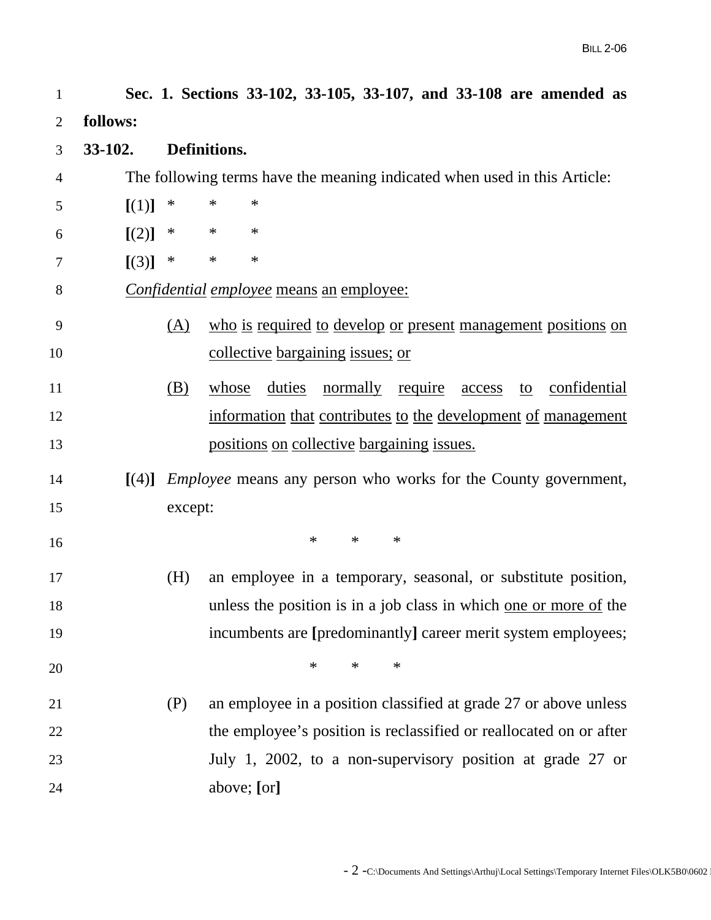| 1  |          |            | Sec. 1. Sections 33-102, 33-105, 33-107, and 33-108 are amended as        |
|----|----------|------------|---------------------------------------------------------------------------|
| 2  | follows: |            |                                                                           |
| 3  | 33-102.  |            | Definitions.                                                              |
| 4  |          |            | The following terms have the meaning indicated when used in this Article: |
| 5  | [(1)]    | $\ast$     | $\ast$<br>$\ast$                                                          |
| 6  | [(2)]    | ∗          | $\ast$<br>∗                                                               |
| 7  | [(3)]    | $\ast$     | $\ast$<br>$\ast$                                                          |
| 8  |          |            | Confidential employee means an employee:                                  |
| 9  |          | (A)        | who is required to develop or present management positions on             |
| 10 |          |            | collective bargaining issues; or                                          |
| 11 |          | <u>(B)</u> | whose duties normally require access to confidential                      |
| 12 |          |            | information that contributes to the development of management             |
| 13 |          |            | positions on collective bargaining issues.                                |
|    |          |            |                                                                           |
| 14 | [(4)]    |            | <i>Employee</i> means any person who works for the County government,     |
| 15 |          | except:    |                                                                           |
| 16 |          |            | $\ast$<br>$\ast$<br>$\ast$                                                |
| 17 |          | (H)        | an employee in a temporary, seasonal, or substitute position,             |
| 18 |          |            | unless the position is in a job class in which one or more of the         |
| 19 |          |            | incumbents are [predominantly] career merit system employees;             |
| 20 |          |            | $\ast$<br>$\ast$<br>$\ast$                                                |
| 21 |          | (P)        | an employee in a position classified at grade 27 or above unless          |
| 22 |          |            | the employee's position is reclassified or reallocated on or after        |
| 23 |          |            | July 1, 2002, to a non-supervisory position at grade 27 or                |
| 24 |          |            | above; [or]                                                               |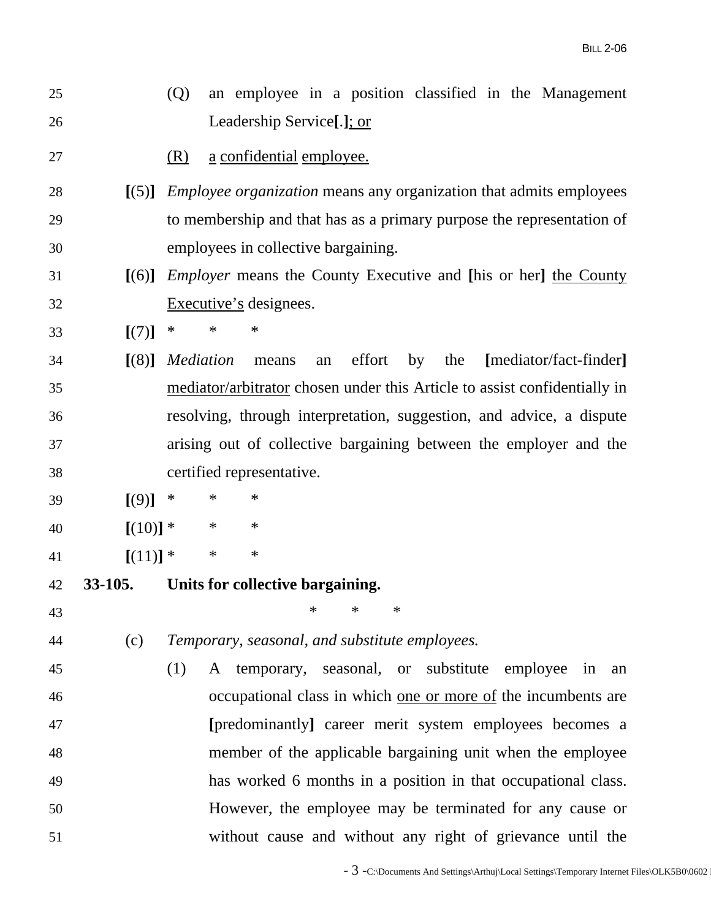| 25 |            | an employee in a position classified in the Management<br>(Q)             |
|----|------------|---------------------------------------------------------------------------|
| 26 |            | Leadership Service[.]; or                                                 |
| 27 |            | a confidential employee.<br>(R)                                           |
| 28 | [(5)]      | <i>Employee organization</i> means any organization that admits employees |
| 29 |            | to membership and that has as a primary purpose the representation of     |
| 30 |            | employees in collective bargaining.                                       |
| 31 | [(6)]      | <i>Employer</i> means the County Executive and [his or her] the County    |
| 32 |            | Executive's designees.                                                    |
| 33 | [(7)]      | $\ast$<br>$\ast$<br>∗                                                     |
| 34 | [(8)]      | Mediation<br>effort<br>[mediator/fact-finder]<br>by<br>the<br>means<br>an |
| 35 |            | mediator/arbitrator chosen under this Article to assist confidentially in |
| 36 |            | resolving, through interpretation, suggestion, and advice, a dispute      |
| 37 |            | arising out of collective bargaining between the employer and the         |
| 38 |            | certified representative.                                                 |
| 39 | [(9)]      | ∗<br>$\ast$<br>∗                                                          |
| 40 | $[(10)]$ * | $\ast$<br>$\ast$                                                          |
| 41 | $[(11)]$ * | $\ast$<br>$\ast$                                                          |
| 42 | 33-105.    | Units for collective bargaining.                                          |
| 43 |            |                                                                           |
| 44 | (c)        | Temporary, seasonal, and substitute employees.                            |
| 45 |            | A temporary, seasonal, or substitute employee<br>(1)<br>in<br>an          |
| 46 |            | occupational class in which one or more of the incumbents are             |
| 47 |            | [predominantly] career merit system employees becomes a                   |
| 48 |            | member of the applicable bargaining unit when the employee                |
| 49 |            | has worked 6 months in a position in that occupational class.             |
| 50 |            | However, the employee may be terminated for any cause or                  |
| 51 |            | without cause and without any right of grievance until the                |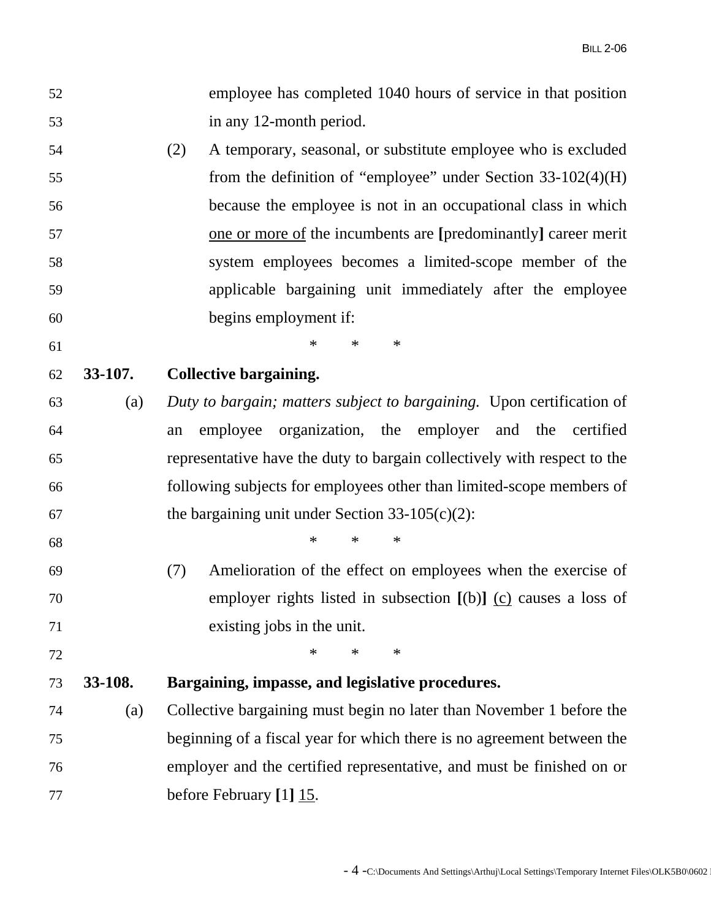- 52 employee has completed 1040 hours of service in that position 53 in any 12-month period.
- 54 (2) A temporary, seasonal, or substitute employee who is excluded 55 from the definition of "employee" under Section 33-102(4)(H) 56 because the employee is not in an occupational class in which 57 one or more of the incumbents are **[**predominantly**]** career merit 58 system employees becomes a limited-scope member of the 59 applicable bargaining unit immediately after the employee 60 begins employment if:

61 \* \* \* \*

- 62 **33-107. Collective bargaining.**
- 63 (a) *Duty to bargain; matters subject to bargaining.* Upon certification of 64 an employee organization, the employer and the certified 65 representative have the duty to bargain collectively with respect to the 66 following subjects for employees other than limited-scope members of 67 the bargaining unit under Section  $33-105(c)(2)$ :
- $68$  \* \* \* \*
- 69 (7) Amelioration of the effect on employees when the exercise of 70 employer rights listed in subsection **[**(b)**]** (c) causes a loss of 71 existing jobs in the unit.
- 72 **\*** \* \* \*

### 73 **33-108. Bargaining, impasse, and legislative procedures.**

74 (a) Collective bargaining must begin no later than November 1 before the 75 beginning of a fiscal year for which there is no agreement between the 76 employer and the certified representative, and must be finished on or 77 before February **[**1**]** 15.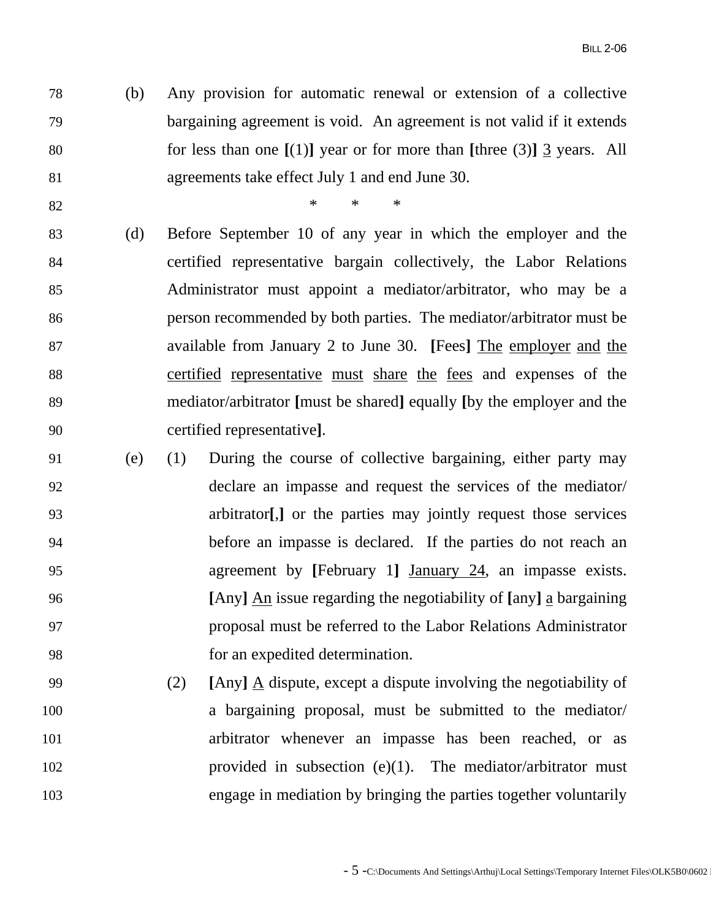78 (b) Any provision for automatic renewal or extension of a collective 79 bargaining agreement is void. An agreement is not valid if it extends 80 for less than one **[**(1)**]** year or for more than **[**three (3)**]** 3 years. All 81 agreements take effect July 1 and end June 30.

82 **\*** \* \* \*

- 83 (d) Before September 10 of any year in which the employer and the 84 certified representative bargain collectively, the Labor Relations 85 Administrator must appoint a mediator/arbitrator, who may be a 86 person recommended by both parties. The mediator/arbitrator must be 87 available from January 2 to June 30. **[**Fees**]** The employer and the 88 certified representative must share the fees and expenses of the 89 mediator/arbitrator **[**must be shared**]** equally **[**by the employer and the 90 certified representative**]**.
- 91 (e) (1) During the course of collective bargaining, either party may 92 declare an impasse and request the services of the mediator/ 93 arbitrator**[**,**]** or the parties may jointly request those services 94 before an impasse is declared. If the parties do not reach an 95 agreement by **[**February 1**]** January 24, an impasse exists. 96 **[**Any**]** An issue regarding the negotiability of **[**any**]** a bargaining 97 proposal must be referred to the Labor Relations Administrator 98 for an expedited determination.
- 99 (2) **[**Any**]** A dispute, except a dispute involving the negotiability of 100 a bargaining proposal, must be submitted to the mediator/ 101 arbitrator whenever an impasse has been reached, or as 102 provided in subsection (e)(1). The mediator/arbitrator must 103 engage in mediation by bringing the parties together voluntarily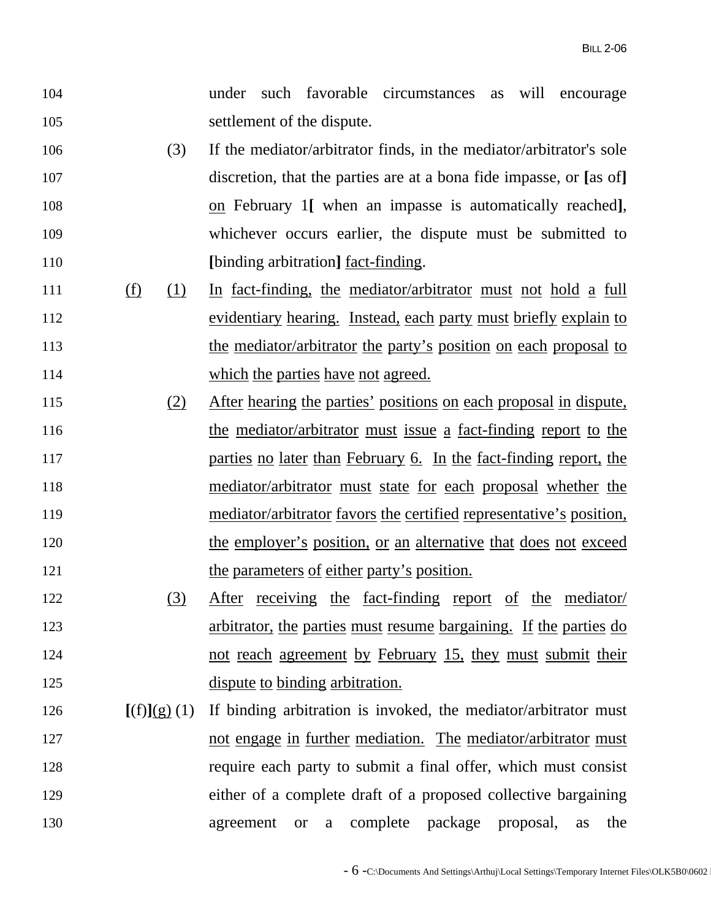- 104 under such favorable circumstances as will encourage 105 settlement of the dispute.
- 106 (3) If the mediator/arbitrator finds, in the mediator/arbitrator's sole 107 discretion, that the parties are at a bona fide impasse, or **[**as of**]** 108 on February 1**[** when an impasse is automatically reached**]**, 109 whichever occurs earlier, the dispute must be submitted to 110 **[**binding arbitration**]** fact-finding.
- 111 (f) (1) In fact-finding, the mediator/arbitrator must not hold a full 112 evidentiary hearing. Instead, each party must briefly explain to 113 the mediator/arbitrator the party's position on each proposal to 114 which the parties have not agreed.
- 115 (2) After hearing the parties' positions on each proposal in dispute, 116 the mediator/arbitrator must issue a fact-finding report to the 117 **parties no later than February 6.** In the fact-finding report, the 118 mediator/arbitrator must state for each proposal whether the 119 mediator/arbitrator favors the certified representative's position, 120 the employer's position, or an alternative that does not exceed 121 the parameters of either party's position.
- 122 (3) After receiving the fact-finding report of the mediator/ 123 arbitrator, the parties must resume bargaining. If the parties do 124 not reach agreement by February 15, they must submit their 125 dispute to binding arbitration.
- 126  $[(f)](g)(1)$  If binding arbitration is invoked, the mediator/arbitrator must 127 not engage in further mediation. The mediator/arbitrator must 128 require each party to submit a final offer, which must consist 129 either of a complete draft of a proposed collective bargaining 130 agreement or a complete package proposal, as the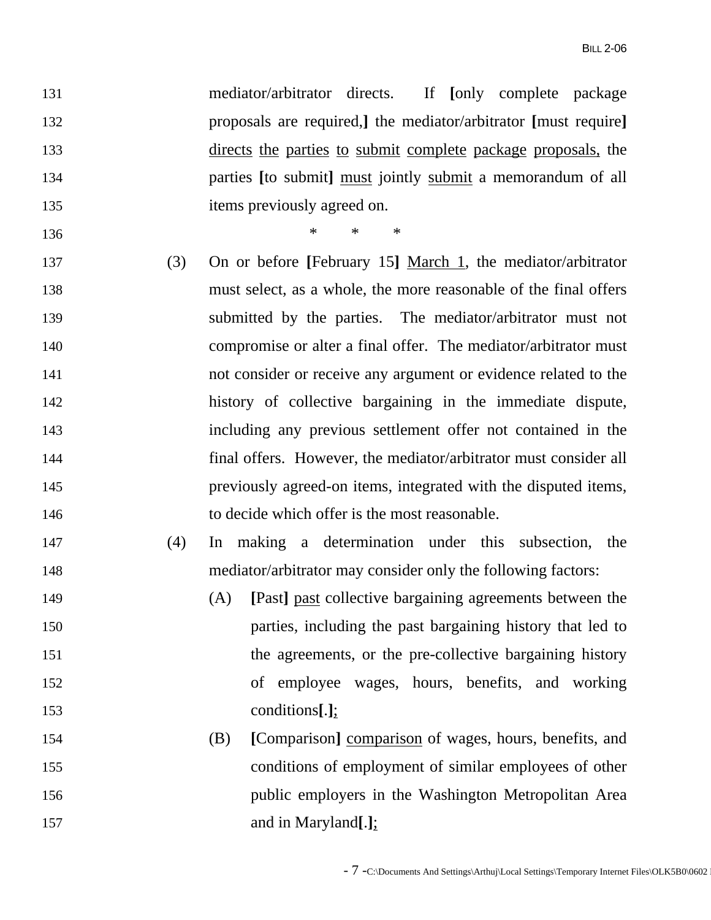131 mediator/arbitrator directs. If **[**only complete package 132 proposals are required,**]** the mediator/arbitrator **[**must require**]** 133 directs the parties to submit complete package proposals, the 134 parties **[**to submit**]** must jointly submit a memorandum of all 135 items previously agreed on.

136 \* \* \*

- 137 (3) On or before **[**February 15**]** March 1, the mediator/arbitrator 138 must select, as a whole, the more reasonable of the final offers 139 submitted by the parties. The mediator/arbitrator must not 140 compromise or alter a final offer. The mediator/arbitrator must 141 not consider or receive any argument or evidence related to the 142 history of collective bargaining in the immediate dispute, 143 including any previous settlement offer not contained in the 144 final offers. However, the mediator/arbitrator must consider all 145 previously agreed-on items, integrated with the disputed items, 146 to decide which offer is the most reasonable.
- 147 (4) In making a determination under this subsection, the 148 mediator/arbitrator may consider only the following factors:
- 149 (A) **[**Past**]** past collective bargaining agreements between the 150 parties, including the past bargaining history that led to 151 the agreements, or the pre-collective bargaining history 152 of employee wages, hours, benefits, and working 153 conditions**[**.**]**;
- 154 (B) **[**Comparison**]** comparison of wages, hours, benefits, and 155 conditions of employment of similar employees of other 156 public employers in the Washington Metropolitan Area 157 and in Maryland**[**.**]**;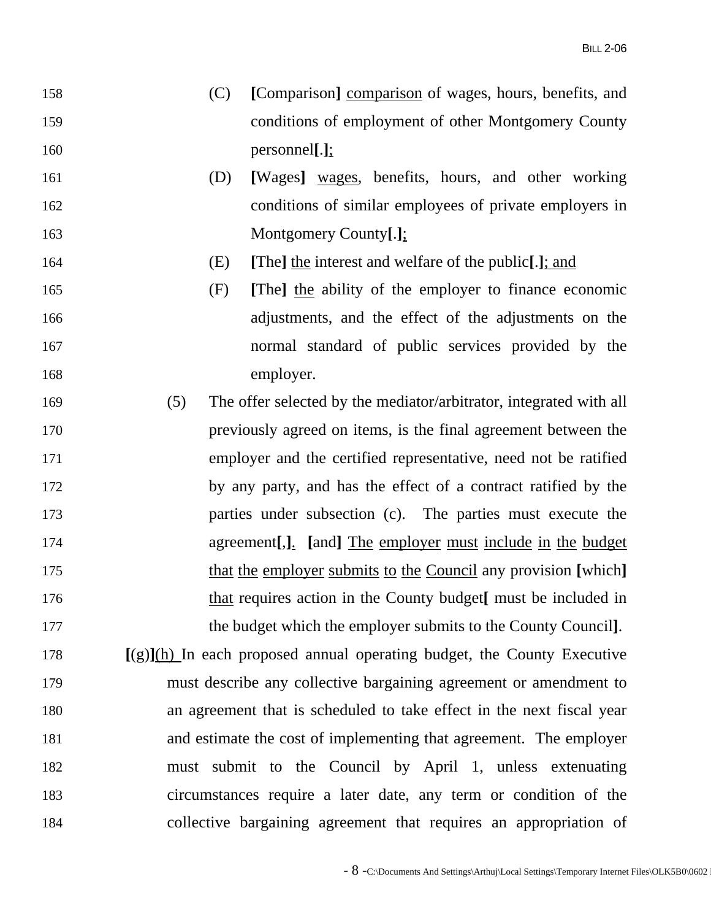- 158 (C) **[**Comparison**]** comparison of wages, hours, benefits, and 159 conditions of employment of other Montgomery County 160 personnel**[**.**]**;
- 161 (D) **[**Wages**]** wages, benefits, hours, and other working 162 conditions of similar employees of private employers in 163 Montgomery County**[**.**]**;
- 164 (E) **[**The**]** the interest and welfare of the public**[**.**]**; and
- 165 (F) **[**The**]** the ability of the employer to finance economic 166 adjustments, and the effect of the adjustments on the 167 normal standard of public services provided by the 168 employer.
- 169 (5) The offer selected by the mediator/arbitrator, integrated with all 170 previously agreed on items, is the final agreement between the 171 employer and the certified representative, need not be ratified 172 by any party, and has the effect of a contract ratified by the 173 parties under subsection (c). The parties must execute the 174 agreement**[**,**]**. **[**and**]** The employer must include in the budget 175 that the employer submits to the Council any provision **[**which**]** 176 that requires action in the County budget**[** must be included in 177 the budget which the employer submits to the County Council**]**.
- 178 **[**(g)**]**(h) In each proposed annual operating budget, the County Executive 179 must describe any collective bargaining agreement or amendment to 180 an agreement that is scheduled to take effect in the next fiscal year 181 and estimate the cost of implementing that agreement. The employer 182 must submit to the Council by April 1, unless extenuating 183 circumstances require a later date, any term or condition of the 184 collective bargaining agreement that requires an appropriation of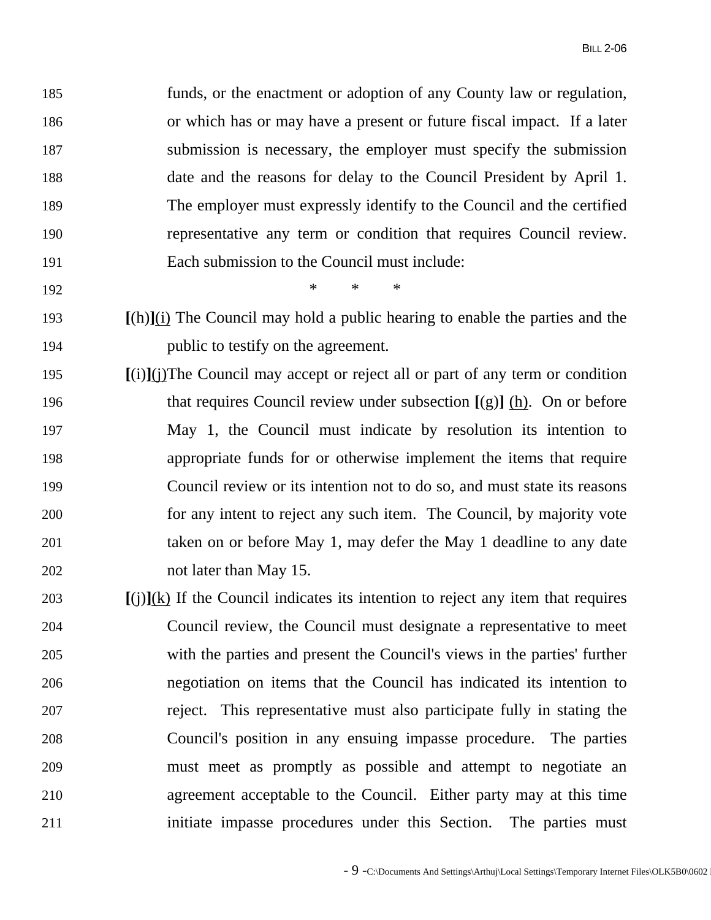185 funds, or the enactment or adoption of any County law or regulation, 186 or which has or may have a present or future fiscal impact. If a later 187 submission is necessary, the employer must specify the submission 188 date and the reasons for delay to the Council President by April 1. 189 The employer must expressly identify to the Council and the certified 190 representative any term or condition that requires Council review. 191 Each submission to the Council must include:

192 \* \* \*

- 193 **[**(h)**]**(i) The Council may hold a public hearing to enable the parties and the 194 public to testify on the agreement.
- 195 **[**(i)**]**(j) The Council may accept or reject all or part of any term or condition 196 that requires Council review under subsection **[**(g)**]** (h). On or before 197 May 1, the Council must indicate by resolution its intention to 198 appropriate funds for or otherwise implement the items that require 199 Council review or its intention not to do so, and must state its reasons 200 for any intent to reject any such item. The Council, by majority vote 201 taken on or before May 1, may defer the May 1 deadline to any date 202 not later than May 15.
- 203 **[**(j)**]**(k) If the Council indicates its intention to reject any item that requires 204 Council review, the Council must designate a representative to meet 205 with the parties and present the Council's views in the parties' further 206 negotiation on items that the Council has indicated its intention to 207 reject. This representative must also participate fully in stating the 208 Council's position in any ensuing impasse procedure. The parties 209 must meet as promptly as possible and attempt to negotiate an 210 agreement acceptable to the Council. Either party may at this time 211 initiate impasse procedures under this Section. The parties must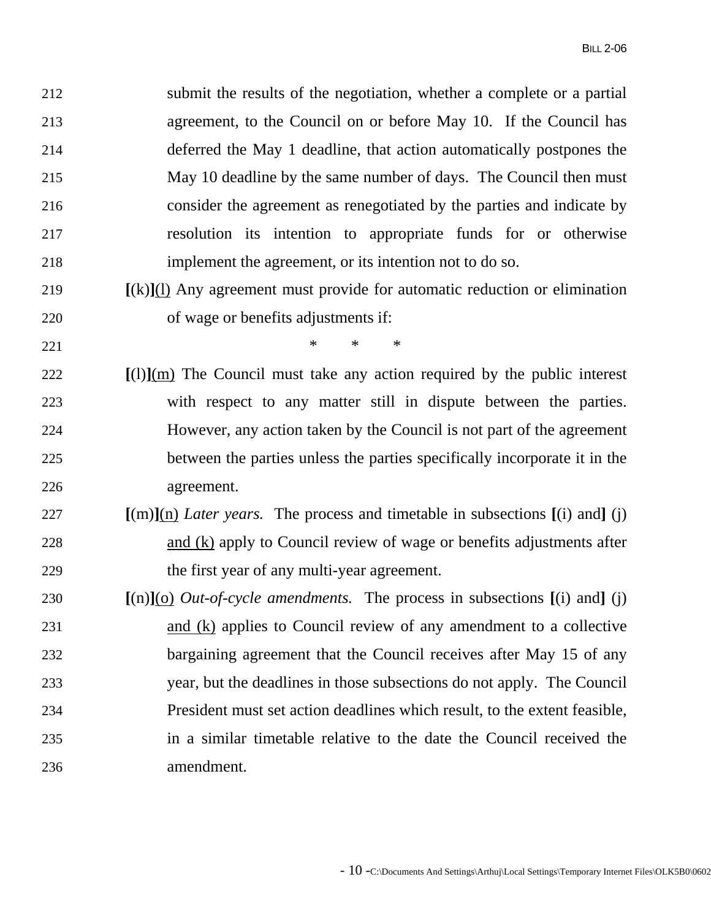212 submit the results of the negotiation, whether a complete or a partial 213 agreement, to the Council on or before May 10. If the Council has 214 deferred the May 1 deadline, that action automatically postpones the 215 May 10 deadline by the same number of days. The Council then must 216 consider the agreement as renegotiated by the parties and indicate by 217 resolution its intention to appropriate funds for or otherwise 218 implement the agreement, or its intention not to do so.

- 219 **[**(k)**]**(l) Any agreement must provide for automatic reduction or elimination 220 of wage or benefits adjustments if:
- 221  $*$  \* \* \*
- 222 **[**(l)**]**(m) The Council must take any action required by the public interest 223 with respect to any matter still in dispute between the parties. 224 However, any action taken by the Council is not part of the agreement 225 between the parties unless the parties specifically incorporate it in the 226 agreement.
- 227 **[**(m)**]**(n) *Later years.* The process and timetable in subsections **[**(i) and**]** (j) 228 and (k) apply to Council review of wage or benefits adjustments after 229 the first year of any multi-year agreement.
- 230 **[**(n)**]**(o) *Out-of-cycle amendments.* The process in subsections **[**(i) and**]** (j) 231 and (k) applies to Council review of any amendment to a collective 232 bargaining agreement that the Council receives after May 15 of any 233 year, but the deadlines in those subsections do not apply. The Council 234 President must set action deadlines which result, to the extent feasible, 235 in a similar timetable relative to the date the Council received the 236 amendment.